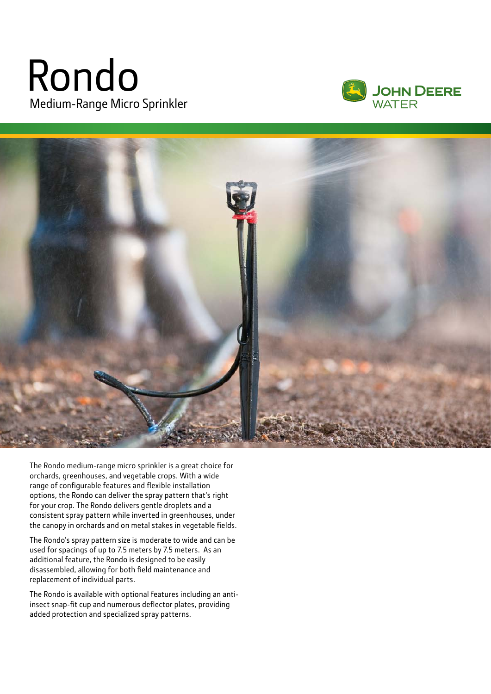## Rondo Medium-Range Micro Sprinkler





The Rondo medium-range micro sprinkler is a great choice for orchards, greenhouses, and vegetable crops. With a wide range of configurable features and flexible installation options, the Rondo can deliver the spray pattern that's right for your crop. The Rondo delivers gentle droplets and a consistent spray pattern while inverted in greenhouses, under the canopy in orchards and on metal stakes in vegetable fields.

The Rondo's spray pattern size is moderate to wide and can be used for spacings of up to 7.5 meters by 7.5 meters. As an additional feature, the Rondo is designed to be easily disassembled, allowing for both field maintenance and replacement of individual parts.

The Rondo is available with optional features including an antiinsect snap-fit cup and numerous deflector plates, providing added protection and specialized spray patterns.